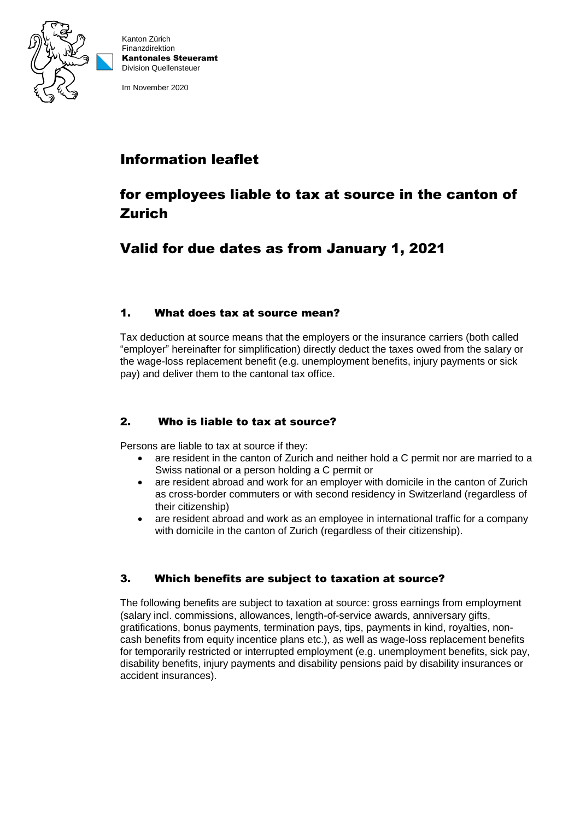

Kanton Zürich Finanzdirektion Kantonales Steueramt Division Quellensteuer

Im November 2020

# Information leaflet

# for employees liable to tax at source in the canton of Zurich

# Valid for due dates as from January 1, 2021

## 1. What does tax at source mean?

Tax deduction at source means that the employers or the insurance carriers (both called "employer" hereinafter for simplification) directly deduct the taxes owed from the salary or the wage-loss replacement benefit (e.g. unemployment benefits, injury payments or sick pay) and deliver them to the cantonal tax office.

# 2. Who is liable to tax at source?

Persons are liable to tax at source if they:

- are resident in the canton of Zurich and neither hold a C permit nor are married to a Swiss national or a person holding a C permit or
- are resident abroad and work for an employer with domicile in the canton of Zurich as cross-border commuters or with second residency in Switzerland (regardless of their citizenship)
- are resident abroad and work as an employee in international traffic for a company with domicile in the canton of Zurich (regardless of their citizenship).

# 3. Which benefits are subject to taxation at source?

The following benefits are subject to taxation at source: gross earnings from employment (salary incl. commissions, allowances, length-of-service awards, anniversary gifts, gratifications, bonus payments, termination pays, tips, payments in kind, royalties, noncash benefits from equity incentice plans etc.), as well as wage-loss replacement benefits for temporarily restricted or interrupted employment (e.g. unemployment benefits, sick pay, disability benefits, injury payments and disability pensions paid by disability insurances or accident insurances).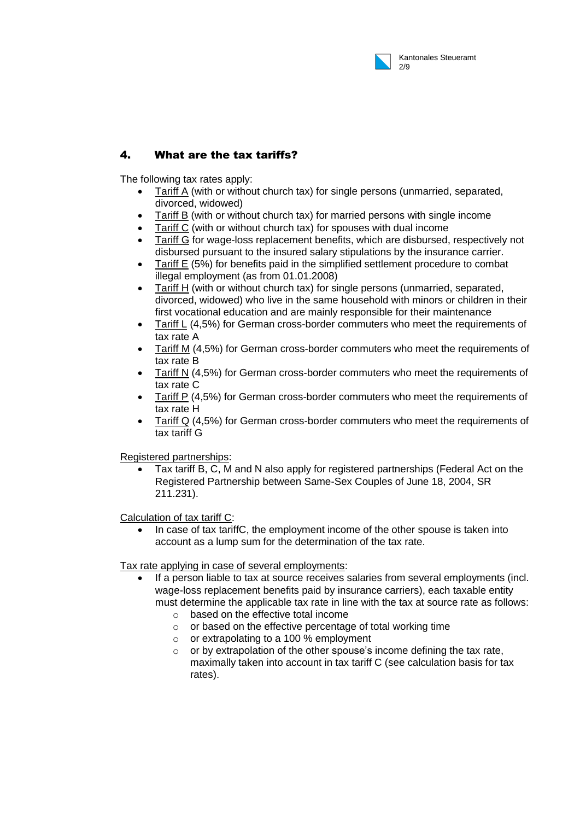

## 4. What are the tax tariffs?

The following tax rates apply:

- Tariff A (with or without church tax) for single persons (unmarried, separated, divorced, widowed)
- Tariff B (with or without church tax) for married persons with single income
- Tariff C (with or without church tax) for spouses with dual income
- Tariff G for wage-loss replacement benefits, which are disbursed, respectively not disbursed pursuant to the insured salary stipulations by the insurance carrier.
- Tariff E (5%) for benefits paid in the simplified settlement procedure to combat illegal employment (as from 01.01.2008)
- Tariff H (with or without church tax) for single persons (unmarried, separated, divorced, widowed) who live in the same household with minors or children in their first vocational education and are mainly responsible for their maintenance
- Tariff L (4,5%) for German cross-border commuters who meet the requirements of tax rate A
- Tariff M (4,5%) for German cross-border commuters who meet the requirements of tax rate B
- Tariff N (4,5%) for German cross-border commuters who meet the requirements of tax rate C
- Tariff P (4,5%) for German cross-border commuters who meet the requirements of tax rate H
- Tariff Q (4,5%) for German cross-border commuters who meet the requirements of tax tariff G

Registered partnerships:

 Tax tariff B, C, M and N also apply for registered partnerships (Federal Act on the Registered Partnership between Same-Sex Couples of June 18, 2004, SR 211.231).

Calculation of tax tariff C:

 In case of tax tariffC, the employment income of the other spouse is taken into account as a lump sum for the determination of the tax rate.

Tax rate applying in case of several employments:

- If a person liable to tax at source receives salaries from several employments (incl. wage-loss replacement benefits paid by insurance carriers), each taxable entity must determine the applicable tax rate in line with the tax at source rate as follows:
	- o based on the effective total income
	- o or based on the effective percentage of total working time
	- o or extrapolating to a 100 % employment
	- $\circ$  or by extrapolation of the other spouse's income defining the tax rate, maximally taken into account in tax tariff C (see calculation basis for tax rates).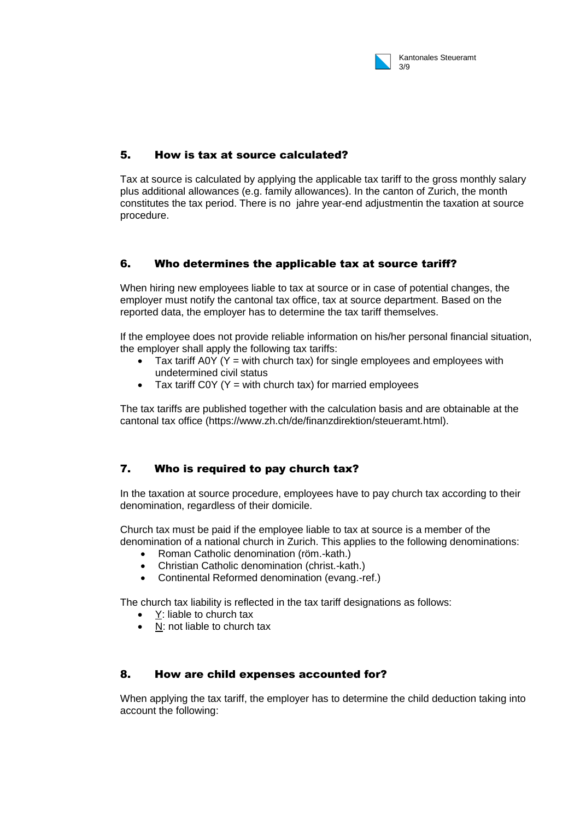

## 5. How is tax at source calculated?

Tax at source is calculated by applying the applicable tax tariff to the gross monthly salary plus additional allowances (e.g. family allowances). In the canton of Zurich, the month constitutes the tax period. There is no jahre year-end adjustmentin the taxation at source procedure.

## 6. Who determines the applicable tax at source tariff?

When hiring new employees liable to tax at source or in case of potential changes, the employer must notify the cantonal tax office, tax at source department. Based on the reported data, the employer has to determine the tax tariff themselves.

If the employee does not provide reliable information on his/her personal financial situation, the employer shall apply the following tax tariffs:

- $\bullet$  Tax tariff A0Y (Y = with church tax) for single employees and employees with undetermined civil status
- Tax tariff COY ( $Y = with$  church tax) for married employees

The tax tariffs are published together with the calculation basis and are obtainable at the cantonal tax office (https://www.zh.ch/de/finanzdirektion/steueramt.html).

## 7. Who is required to pay church tax?

In the taxation at source procedure, employees have to pay church tax according to their denomination, regardless of their domicile.

Church tax must be paid if the employee liable to tax at source is a member of the denomination of a national church in Zurich. This applies to the following denominations:

- Roman Catholic denomination (röm.-kath.)
- Christian Catholic denomination (christ.-kath.)
- Continental Reformed denomination (evang.-ref.)

The church tax liability is reflected in the tax tariff designations as follows:

- Y: liable to church tax
- N: not liable to church tax

#### 8. How are child expenses accounted for?

When applying the tax tariff, the employer has to determine the child deduction taking into account the following: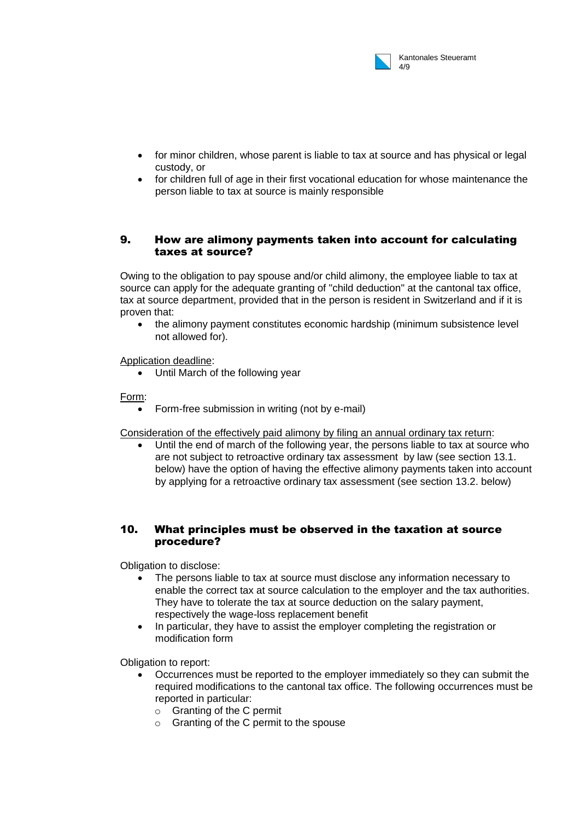

- for minor children, whose parent is liable to tax at source and has physical or legal custody, or
- for children full of age in their first vocational education for whose maintenance the person liable to tax at source is mainly responsible

### 9. How are alimony payments taken into account for calculating taxes at source?

Owing to the obligation to pay spouse and/or child alimony, the employee liable to tax at source can apply for the adequate granting of "child deduction" at the cantonal tax office, tax at source department, provided that in the person is resident in Switzerland and if it is proven that:

 the alimony payment constitutes economic hardship (minimum subsistence level not allowed for).

Application deadline:

Until March of the following year

Form:

• Form-free submission in writing (not by e-mail)

Consideration of the effectively paid alimony by filing an annual ordinary tax return:

 Until the end of march of the following year, the persons liable to tax at source who are not subject to retroactive ordinary tax assessment by law (see section 13.1. below) have the option of having the effective alimony payments taken into account by applying for a retroactive ordinary tax assessment (see section 13.2. below)

#### 10. What principles must be observed in the taxation at source procedure?

Obligation to disclose:

- The persons liable to tax at source must disclose any information necessary to enable the correct tax at source calculation to the employer and the tax authorities. They have to tolerate the tax at source deduction on the salary payment, respectively the wage-loss replacement benefit
- In particular, they have to assist the employer completing the registration or modification form

Obligation to report:

- Occurrences must be reported to the employer immediately so they can submit the required modifications to the cantonal tax office. The following occurrences must be reported in particular:
	- o Granting of the C permit
	- o Granting of the C permit to the spouse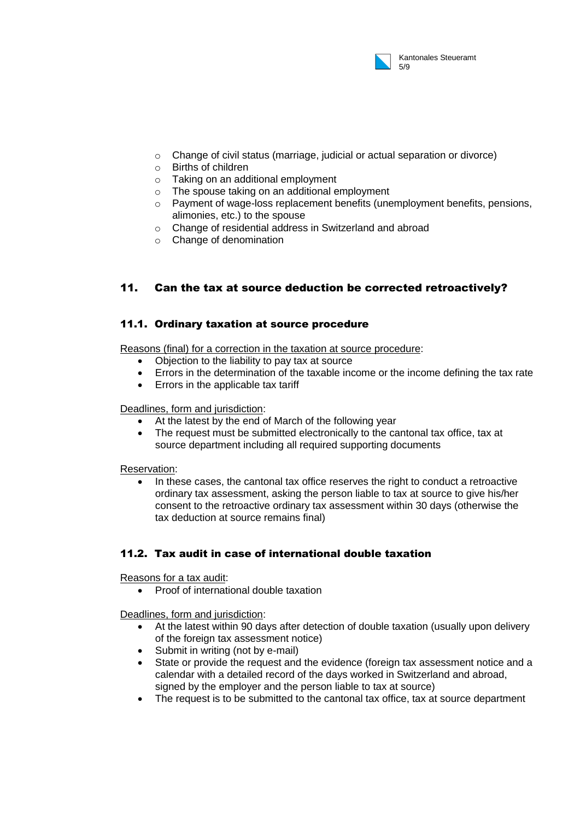

- o Change of civil status (marriage, judicial or actual separation or divorce)
- o Births of children
- o Taking on an additional employment
- o The spouse taking on an additional employment
- o Payment of wage-loss replacement benefits (unemployment benefits, pensions, alimonies, etc.) to the spouse
- o Change of residential address in Switzerland and abroad
- o Change of denomination

## 11. Can the tax at source deduction be corrected retroactively?

#### 11.1. Ordinary taxation at source procedure

Reasons (final) for a correction in the taxation at source procedure:

- Objection to the liability to pay tax at source
- Errors in the determination of the taxable income or the income defining the tax rate
- Errors in the applicable tax tariff

#### Deadlines, form and jurisdiction:

- At the latest by the end of March of the following year
- The request must be submitted electronically to the cantonal tax office, tax at source department including all required supporting documents

#### Reservation:

 In these cases, the cantonal tax office reserves the right to conduct a retroactive ordinary tax assessment, asking the person liable to tax at source to give his/her consent to the retroactive ordinary tax assessment within 30 days (otherwise the tax deduction at source remains final)

#### 11.2. Tax audit in case of international double taxation

Reasons for a tax audit:

Proof of international double taxation

Deadlines, form and jurisdiction:

- At the latest within 90 days after detection of double taxation (usually upon delivery of the foreign tax assessment notice)
- Submit in writing (not by e-mail)
- State or provide the request and the evidence (foreign tax assessment notice and a calendar with a detailed record of the days worked in Switzerland and abroad, signed by the employer and the person liable to tax at source)
- The request is to be submitted to the cantonal tax office, tax at source department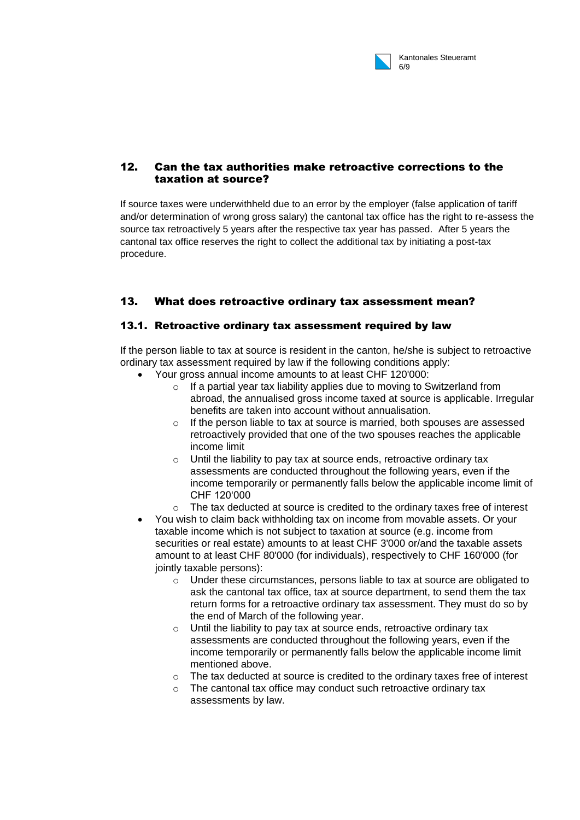

## 12. Can the tax authorities make retroactive corrections to the taxation at source?

If source taxes were underwithheld due to an error by the employer (false application of tariff and/or determination of wrong gross salary) the cantonal tax office has the right to re-assess the source tax retroactively 5 years after the respective tax year has passed. After 5 years the cantonal tax office reserves the right to collect the additional tax by initiating a post-tax procedure.

# 13. What does retroactive ordinary tax assessment mean?

#### 13.1. Retroactive ordinary tax assessment required by law

If the person liable to tax at source is resident in the canton, he/she is subject to retroactive ordinary tax assessment required by law if the following conditions apply:

- Your gross annual income amounts to at least CHF 120'000:
	- o If a partial year tax liability applies due to moving to Switzerland from abroad, the annualised gross income taxed at source is applicable. Irregular benefits are taken into account without annualisation.
	- $\circ$  If the person liable to tax at source is married, both spouses are assessed retroactively provided that one of the two spouses reaches the applicable income limit
	- $\circ$  Until the liability to pay tax at source ends, retroactive ordinary tax assessments are conducted throughout the following years, even if the income temporarily or permanently falls below the applicable income limit of CHF 120'000
	- $\circ$  The tax deducted at source is credited to the ordinary taxes free of interest
- You wish to claim back withholding tax on income from movable assets. Or your taxable income which is not subject to taxation at source (e.g. income from securities or real estate) amounts to at least CHF 3'000 or/and the taxable assets amount to at least CHF 80'000 (for individuals), respectively to CHF 160'000 (for jointly taxable persons):
	- o Under these circumstances, persons liable to tax at source are obligated to ask the cantonal tax office, tax at source department, to send them the tax return forms for a retroactive ordinary tax assessment. They must do so by the end of March of the following year.
	- $\circ$  Until the liability to pay tax at source ends, retroactive ordinary tax assessments are conducted throughout the following years, even if the income temporarily or permanently falls below the applicable income limit mentioned above.
	- o The tax deducted at source is credited to the ordinary taxes free of interest
	- o The cantonal tax office may conduct such retroactive ordinary tax assessments by law.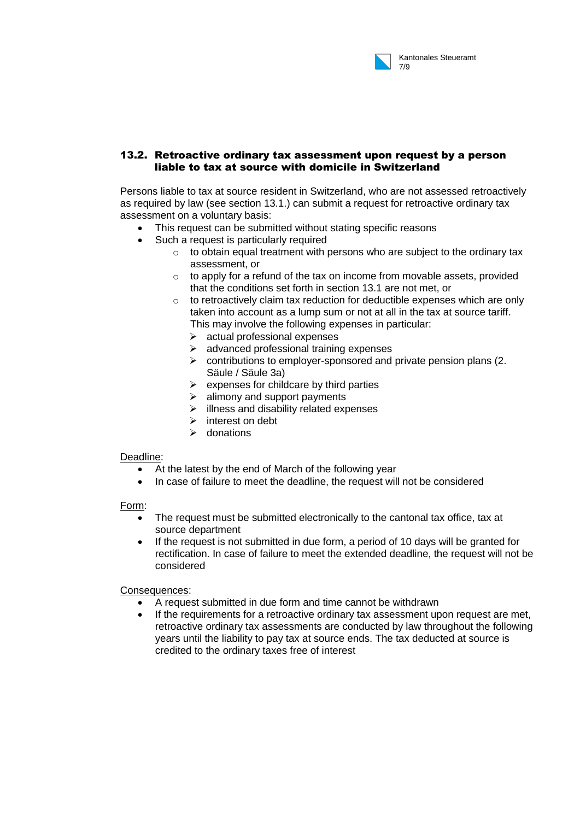

#### 13.2. Retroactive ordinary tax assessment upon request by a person liable to tax at source with domicile in Switzerland

Persons liable to tax at source resident in Switzerland, who are not assessed retroactively as required by law (see section 13.1.) can submit a request for retroactive ordinary tax assessment on a voluntary basis:

- This request can be submitted without stating specific reasons
- Such a request is particularly required
	- $\circ$  to obtain equal treatment with persons who are subject to the ordinary tax assessment, or
	- $\circ$  to apply for a refund of the tax on income from movable assets, provided that the conditions set forth in section 13.1 are not met, or
	- $\circ$  to retroactively claim tax reduction for deductible expenses which are only taken into account as a lump sum or not at all in the tax at source tariff. This may involve the following expenses in particular:
		- $\triangleright$  actual professional expenses
		- $\triangleright$  advanced professional training expenses
		- $\triangleright$  contributions to employer-sponsored and private pension plans (2. Säule / Säule 3a)
		- $\triangleright$  expenses for childcare by third parties
		- $\geq$  alimony and support payments
		- $\triangleright$  illness and disability related expenses
		- $\triangleright$  interest on debt
		- $\triangleright$  donations

#### Deadline:

- At the latest by the end of March of the following year
- In case of failure to meet the deadline, the request will not be considered

#### Form:

- The request must be submitted electronically to the cantonal tax office, tax at source department
- If the request is not submitted in due form, a period of 10 days will be granted for rectification. In case of failure to meet the extended deadline, the request will not be considered

#### Consequences:

- A request submitted in due form and time cannot be withdrawn
- If the requirements for a retroactive ordinary tax assessment upon request are met, retroactive ordinary tax assessments are conducted by law throughout the following years until the liability to pay tax at source ends. The tax deducted at source is credited to the ordinary taxes free of interest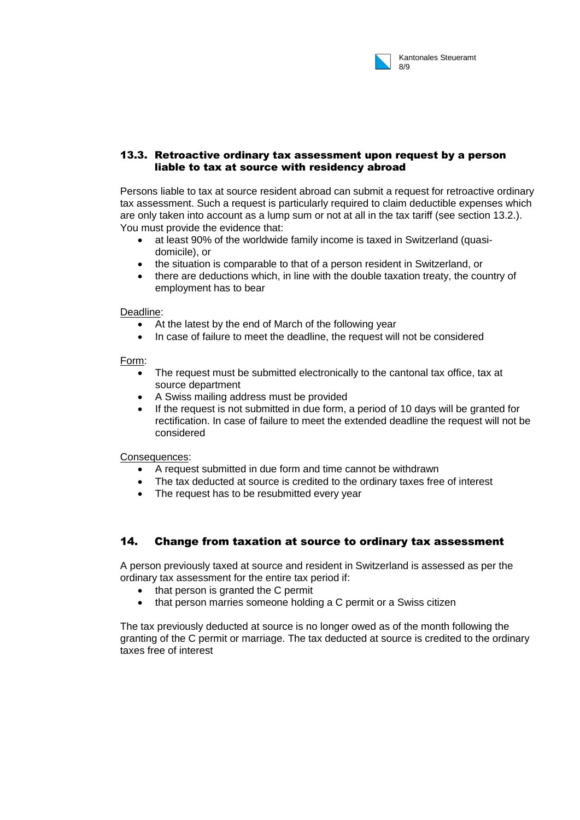

#### 13.3. Retroactive ordinary tax assessment upon request by a person liable to tax at source with residency abroad

Persons liable to tax at source resident abroad can submit a request for retroactive ordinary tax assessment. Such a request is particularly required to claim deductible expenses which are only taken into account as a lump sum or not at all in the tax tariff (see section 13.2.). You must provide the evidence that:

- at least 90% of the worldwide family income is taxed in Switzerland (quasidomicile), or
- the situation is comparable to that of a person resident in Switzerland, or
- there are deductions which, in line with the double taxation treaty, the country of employment has to bear

Deadline:

- At the latest by the end of March of the following year
- In case of failure to meet the deadline, the request will not be considered

Form:

- The request must be submitted electronically to the cantonal tax office, tax at source department
- A Swiss mailing address must be provided
- If the request is not submitted in due form, a period of 10 days will be granted for rectification. In case of failure to meet the extended deadline the request will not be considered

Consequences:

- A request submitted in due form and time cannot be withdrawn
- The tax deducted at source is credited to the ordinary taxes free of interest
- The request has to be resubmitted every year

## 14. Change from taxation at source to ordinary tax assessment

A person previously taxed at source and resident in Switzerland is assessed as per the ordinary tax assessment for the entire tax period if:

- that person is granted the C permit
- that person marries someone holding a C permit or a Swiss citizen

The tax previously deducted at source is no longer owed as of the month following the granting of the C permit or marriage. The tax deducted at source is credited to the ordinary taxes free of interest